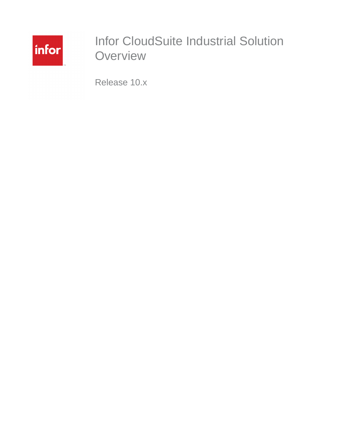

# Infor CloudSuite Industrial Solution **Overview**

Release 10.x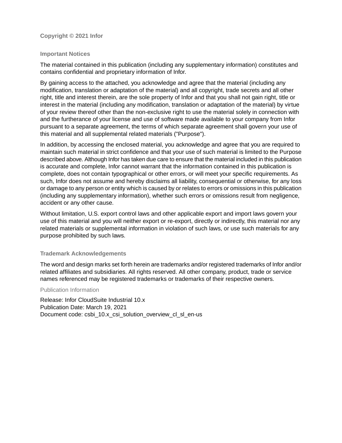#### **Copyright © 2021 Infor**

#### **Important Notices**

The material contained in this publication (including any supplementary information) constitutes and contains confidential and proprietary information of Infor.

By gaining access to the attached, you acknowledge and agree that the material (including any modification, translation or adaptation of the material) and all copyright, trade secrets and all other right, title and interest therein, are the sole property of Infor and that you shall not gain right, title or interest in the material (including any modification, translation or adaptation of the material) by virtue of your review thereof other than the non-exclusive right to use the material solely in connection with and the furtherance of your license and use of software made available to your company from Infor pursuant to a separate agreement, the terms of which separate agreement shall govern your use of this material and all supplemental related materials ("Purpose").

In addition, by accessing the enclosed material, you acknowledge and agree that you are required to maintain such material in strict confidence and that your use of such material is limited to the Purpose described above. Although Infor has taken due care to ensure that the material included in this publication is accurate and complete, Infor cannot warrant that the information contained in this publication is complete, does not contain typographical or other errors, or will meet your specific requirements. As such, Infor does not assume and hereby disclaims all liability, consequential or otherwise, for any loss or damage to any person or entity which is caused by or relates to errors or omissions in this publication (including any supplementary information), whether such errors or omissions result from negligence, accident or any other cause.

Without limitation, U.S. export control laws and other applicable export and import laws govern your use of this material and you will neither export or re-export, directly or indirectly, this material nor any related materials or supplemental information in violation of such laws, or use such materials for any purpose prohibited by such laws.

#### **Trademark Acknowledgements**

The word and design marks set forth herein are trademarks and/or registered trademarks of Infor and/or related affiliates and subsidiaries. All rights reserved. All other company, product, trade or service names referenced may be registered trademarks or trademarks of their respective owners.

#### Publication Information

Release: Infor CloudSuite Industrial 10.x Publication Date: March 19, 2021 Document code: csbi\_10.x\_csi\_solution\_overview\_cl\_sl\_en-us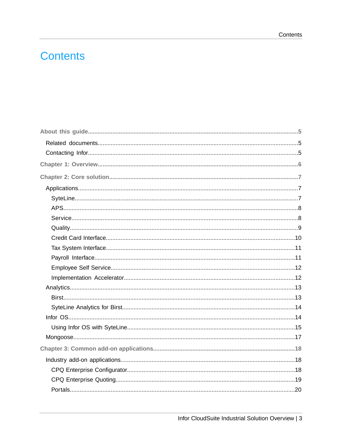# **Contents**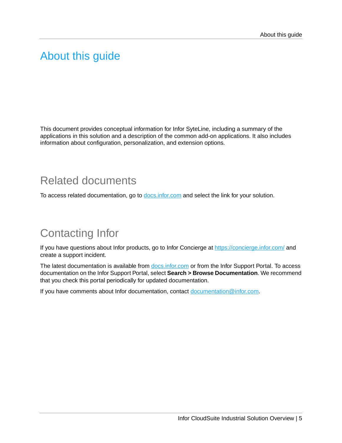## <span id="page-4-0"></span>About this guide

This document provides conceptual information for Infor SyteLine, including a summary of the applications in this solution and a description of the common add-on applications. It also includes information about configuration, personalization, and extension options.

## <span id="page-4-1"></span>Related documents

<span id="page-4-2"></span>To access related documentation, go to [docs.infor.com](http://docs.infor.com) and select the link for your solution.

# Contacting Infor

If you have questions about Infor products, go to Infor Concierge at <https://concierge.infor.com/> and create a support incident.

The latest documentation is available from **[docs.infor.com](https://docs.infor.com/)** or from the Infor Support Portal. To access documentation on the Infor Support Portal, select **Search > Browse Documentation**. We recommend that you check this portal periodically for updated documentation.

If you have comments about Infor documentation, contact [documentation@infor.com](mailto:documentation@infor.com).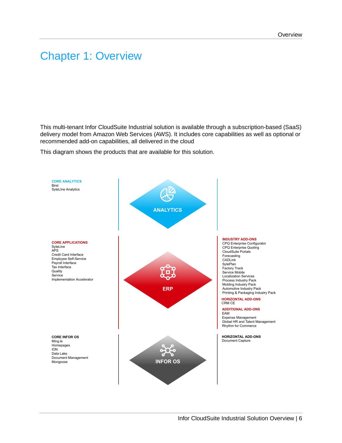## <span id="page-5-0"></span>Chapter 1: Overview

This multi-tenant Infor CloudSuite Industrial solution is available through a subscription-based (SaaS) delivery model from Amazon Web Services (AWS). It includes core capabilities as well as optional or recommended add-on capabilities, all delivered in the cloud

This diagram shows the products that are available for this solution.

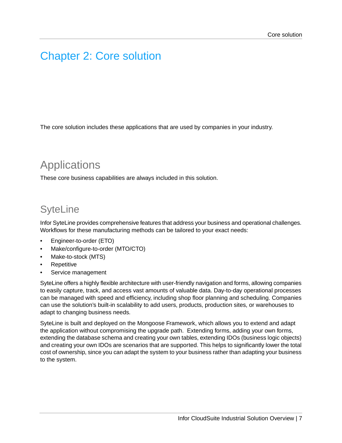## <span id="page-6-0"></span>Chapter 2: Core solution

The core solution includes these applications that are used by companies in your industry.

## <span id="page-6-1"></span>**Applications**

<span id="page-6-2"></span>These core business capabilities are always included in this solution.

## **SyteLine**

Infor SyteLine provides comprehensive features that address your business and operational challenges. Workflows for these manufacturing methods can be tailored to your exact needs:

- Engineer-to-order (ETO)
- Make/configure-to-order (MTO/CTO)
- Make-to-stock (MTS)
- **Repetitive**
- Service management

SyteLine offers a highly flexible architecture with user-friendly navigation and forms, allowing companies to easily capture, track, and access vast amounts of valuable data. Day-to-day operational processes can be managed with speed and efficiency, including shop floor planning and scheduling. Companies can use the solution's built-in scalability to add users, products, production sites, or warehouses to adapt to changing business needs.

SyteLine is built and deployed on the Mongoose Framework, which allows you to extend and adapt the application without compromising the upgrade path. Extending forms, adding your own forms, extending the database schema and creating your own tables, extending IDOs (business logic objects) and creating your own IDOs are scenarios that are supported. This helps to significantly lower the total cost of ownership, since you can adapt the system to your business rather than adapting your business to the system.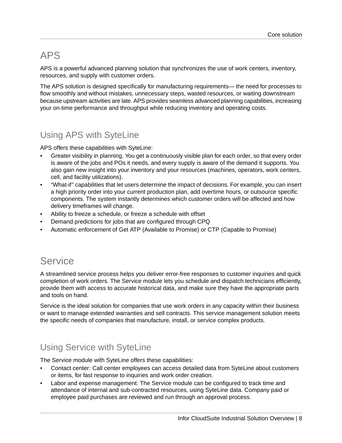## <span id="page-7-0"></span>APS

APS is a powerful advanced planning solution that synchronizes the use of work centers, inventory, resources, and supply with customer orders.

The APS solution is designed specifically for manufacturing requirements— the need for processes to flow smoothly and without mistakes, unnecessary steps, wasted resources, or waiting downstream because upstream activities are late. APS provides seamless advanced planning capabilities, increasing your on-time performance and throughput while reducing inventory and operating costs.

### Using APS with SyteLine

APS offers these capabilities with SyteLine:

- Greater visibility in planning. You get a continuously visible plan for each order, so that every order is aware of the jobs and POs it needs, and every supply is aware of the demand it supports. You also gain new insight into your inventory and your resources (machines, operators, work centers, cell, and facility utilizations).
- "What-if" capabilities that let users determine the impact of decisions. For example, you can insert a high priority order into your current production plan, add overtime hours, or outsource specific components. The system instantly determines which customer orders will be affected and how delivery timeframes will change.
- Ability to freeze a schedule, or freeze a schedule with offset
- Demand predictions for jobs that are configured through CPQ
- <span id="page-7-1"></span>• Automatic enforcement of Get ATP (Available to Promise) or CTP (Capable to Promise)

### **Service**

A streamlined service process helps you deliver error-free responses to customer inquiries and quick completion of work orders. The Service module lets you schedule and dispatch technicians efficiently, provide them with access to accurate historical data, and make sure they have the appropriate parts and tools on hand.

Service is the ideal solution for companies that use work orders in any capacity within their business or want to manage extended warranties and sell contracts. This service management solution meets the specific needs of companies that manufacture, install, or service complex products.

### Using Service with SyteLine

The Service module with SyteLine offers these capabilities:

- Contact center: Call center employees can access detailed data from SyteLine about customers or items, for fast response to inquiries and work order creation.
- Labor and expense management: The Service module can be configured to track time and attendance of internal and sub-contracted resources, using SyteLine data. Company paid or employee paid purchases are reviewed and run through an approval process.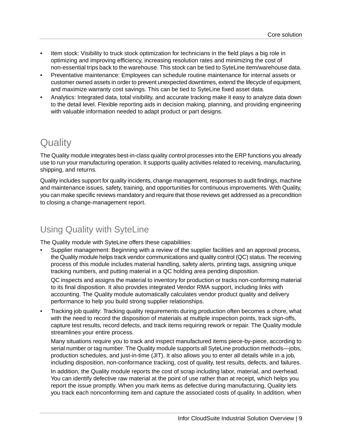- Item stock: Visibility to truck stock optimization for technicians in the field plays a big role in optimizing and improving efficiency, increasing resolution rates and minimizing the cost of non-essential trips back to the warehouse. This stock can be tied to SyteLine item/warehouse data.
- Preventative maintenance: Employees can schedule routine maintenance for internal assets or customer owned assets in order to prevent unexpected downtimes, extend the lifecycle of equipment, and maximize warranty cost savings. This can be tied to SyteLine fixed asset data.
- Analytics: Integrated data, total visibility, and accurate tracking make it easy to analyze data down to the detail level. Flexible reporting aids in decision making, planning, and providing engineering with valuable information needed to adapt product or part designs.

### <span id="page-8-0"></span>**Quality**

The Quality module integrates best-in-class quality control processes into the ERP functions you already use to run your manufacturing operation. It supports quality activities related to receiving, manufacturing, shipping, and returns.

Quality includes support for quality incidents, change management, responses to audit findings, machine and maintenance issues, safety, training, and opportunities for continuous improvements. With Quality, you can make specific reviews mandatory and require that those reviews get addressed as a precondition to closing a change-management report.

### Using Quality with SyteLine

The Quality module with SyteLine offers these capabilities:

• Supplier management: Beginning with a review of the supplier facilities and an approval process, the Quality module helps track vendor communications and quality control (QC) status. The receiving process of this module includes material handling, safety alerts, printing tags, assigning unique tracking numbers, and putting material in a QC holding area pending disposition.

QC inspects and assigns the material to inventory for production or tracks non-conforming material to its final disposition. It also provides integrated Vendor RMA support, including links with accounting. The Quality module automatically calculates vendor product quality and delivery performance to help you build strong supplier relationships.

• Tracking job quality: Tracking quality requirements during production often becomes a chore, what with the need to record the disposition of materials at multiple inspection points, track sign-offs, capture test results, record defects, and track items requiring rework or repair. The Quality module streamlines your entire process.

Many situations require you to track and inspect manufactured items piece-by-piece, according to serial number or tag number. The Quality module supports all SyteLine production methods—jobs, production schedules, and just-in-time (JIT). It also allows you to enter all details while in a job, including disposition, non-conformance tracking, cost of quality, test results, defects, and failures.

In addition, the Quality module reports the cost of scrap including labor, material, and overhead. You can identify defective raw material at the point of use rather than at receipt, which helps you report the issue promptly. When you mark items as defective during manufacturing, Quality lets you track each nonconforming item and capture the associated costs of quality. In addition, when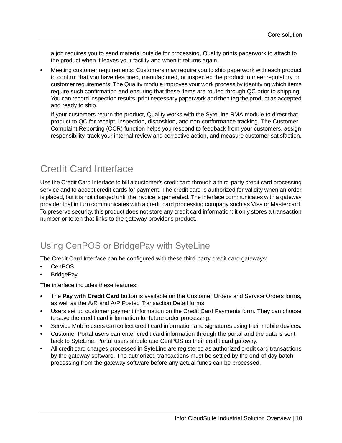a job requires you to send material outside for processing, Quality prints paperwork to attach to the product when it leaves your facility and when it returns again.

• Meeting customer requirements: Customers may require you to ship paperwork with each product to confirm that you have designed, manufactured, or inspected the product to meet regulatory or customer requirements. The Quality module improves your work process by identifying which items require such confirmation and ensuring that these items are routed through QC prior to shipping. You can record inspection results, print necessary paperwork and then tag the product as accepted and ready to ship.

If your customers return the product, Quality works with the SyteLine RMA module to direct that product to QC for receipt, inspection, disposition, and non-conformance tracking. The Customer Complaint Reporting (CCR) function helps you respond to feedback from your customers, assign responsibility, track your internal review and corrective action, and measure customer satisfaction.

## <span id="page-9-0"></span>Credit Card Interface

Use the Credit Card Interface to bill a customer's credit card through a third-party credit card processing service and to accept credit cards for payment. The credit card is authorized for validity when an order is placed, but it is not charged until the invoice is generated. The interface communicates with a gateway provider that in turn communicates with a credit card processing company such as Visa or Mastercard. To preserve security, this product does not store any credit card information; it only stores a transaction number or token that links to the gateway provider's product.

### Using CenPOS or BridgePay with SyteLine

The Credit Card Interface can be configured with these third-party credit card gateways:

- **CenPOS**
- **BridgePay**

The interface includes these features:

- The **Pay with Credit Card** button is available on the Customer Orders and Service Orders forms, as well as the A/R and A/P Posted Transaction Detail forms.
- Users set up customer payment information on the Credit Card Payments form. They can choose to save the credit card information for future order processing.
- Service Mobile users can collect credit card information and signatures using their mobile devices.
- Customer Portal users can enter credit card information through the portal and the data is sent back to SyteLine. Portal users should use CenPOS as their credit card gateway.
- All credit card charges processed in SyteLine are registered as authorized credit card transactions by the gateway software. The authorized transactions must be settled by the end-of-day batch processing from the gateway software before any actual funds can be processed.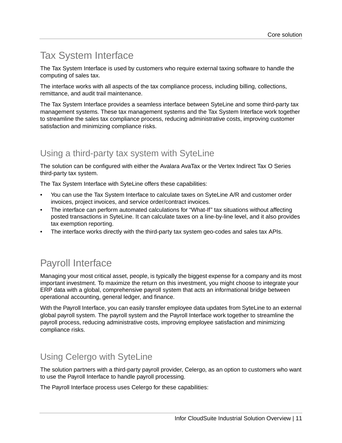## <span id="page-10-0"></span>Tax System Interface

The Tax System Interface is used by customers who require external taxing software to handle the computing of sales tax.

The interface works with all aspects of the tax compliance process, including billing, collections, remittance, and audit trail maintenance.

The Tax System Interface provides a seamless interface between SyteLine and some third-party tax management systems. These tax management systems and the Tax System Interface work together to streamline the sales tax compliance process, reducing administrative costs, improving customer satisfaction and minimizing compliance risks.

### Using a third-party tax system with SyteLine

The solution can be configured with either the Avalara AvaTax or the Vertex Indirect Tax O Series third-party tax system.

The Tax System Interface with SyteLine offers these capabilities:

- You can use the Tax System Interface to calculate taxes on SyteLine A/R and customer order invoices, project invoices, and service order/contract invoices.
- The interface can perform automated calculations for "What-If" tax situations without affecting posted transactions in SyteLine. It can calculate taxes on a line-by-line level, and it also provides tax exemption reporting.
- <span id="page-10-1"></span>• The interface works directly with the third-party tax system geo-codes and sales tax APIs.

## Payroll Interface

Managing your most critical asset, people, is typically the biggest expense for a company and its most important investment. To maximize the return on this investment, you might choose to integrate your ERP data with a global, comprehensive payroll system that acts an informational bridge between operational accounting, general ledger, and finance.

With the Payroll Interface, you can easily transfer employee data updates from SyteLine to an external global payroll system. The payroll system and the Payroll Interface work together to streamline the payroll process, reducing administrative costs, improving employee satisfaction and minimizing compliance risks.

### Using Celergo with SyteLine

The solution partners with a third-party payroll provider, Celergo, as an option to customers who want to use the Payroll Interface to handle payroll processing.

The Payroll Interface process uses Celergo for these capabilities: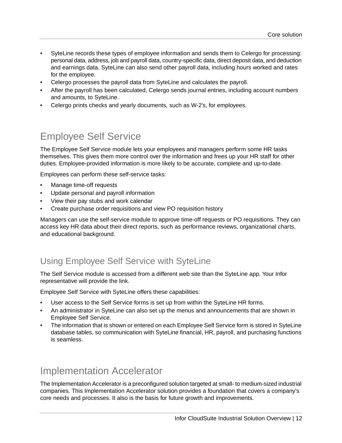- SyteLine records these types of employee information and sends them to Celergo for processing: personal data, address, job and payroll data, country-specific data, direct deposit data, and deduction and earnings data. SyteLine can also send other payroll data, including hours worked and rates for the employee.
- Celergo processes the payroll data from SyteLine and calculates the payroll.
- After the payroll has been calculated, Celergo sends journal entries, including account numbers and amounts, to SyteLine.
- Celergo prints checks and yearly documents, such as W-2's, for employees.

## <span id="page-11-0"></span>Employee Self Service

The Employee Self Service module lets your employees and managers perform some HR tasks themselves. This gives them more control over the information and frees up your HR staff for other duties. Employee-provided information is more likely to be accurate, complete and up-to-date.

Employees can perform these self-service tasks:

- Manage time-off requests
- Update personal and payroll information
- View their pay stubs and work calendar
- Create purchase order requisitions and view PO requisition history

Managers can use the self-service module to approve time-off requests or PO requisitions. They can access key HR data about their direct reports, such as performance reviews, organizational charts, and educational background.

### Using Employee Self Service with SyteLine

The Self Service module is accessed from a different web site than the SyteLine app. Your Infor representative will provide the link.

Employee Self Service with SyteLine offers these capabilities:

- User access to the Self Service forms is set up from within the SyteLine HR forms.
- An administrator in SyteLine can also set up the menus and announcements that are shown in Employee Self Service.
- <span id="page-11-1"></span>• The information that is shown or entered on each Employee Self Service form is stored in SyteLine database tables, so communication with SyteLine financial, HR, payroll, and purchasing functions is seamless.

### Implementation Accelerator

The Implementation Accelerator is a preconfigured solution targeted at small- to medium-sized industrial companies. This Implementation Accelerator solution provides a foundation that covers a company's core needs and processes. It also is the basis for future growth and improvements.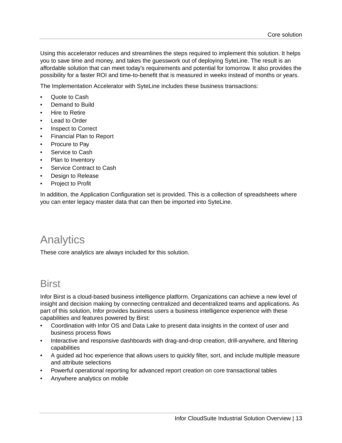Using this accelerator reduces and streamlines the steps required to implement this solution. It helps you to save time and money, and takes the guesswork out of deploying SyteLine. The result is an affordable solution that can meet today's requirements and potential for tomorrow. It also provides the possibility for a faster ROI and time-to-benefit that is measured in weeks instead of months or years.

The Implementation Accelerator with SyteLine includes these business transactions:

- Quote to Cash
- Demand to Build
- Hire to Retire
- **Lead to Order**
- Inspect to Correct
- Financial Plan to Report
- Procure to Pay
- Service to Cash
- Plan to Inventory
- Service Contract to Cash
- Design to Release
- Project to Profit

<span id="page-12-0"></span>In addition, the Application Configuration set is provided. This is a collection of spreadsheets where you can enter legacy master data that can then be imported into SyteLine.

## Analytics

<span id="page-12-1"></span>These core analytics are always included for this solution.

### **Birst**

Infor Birst is a cloud-based business intelligence platform. Organizations can achieve a new level of insight and decision making by connecting centralized and decentralized teams and applications. As part of this solution, Infor provides business users a business intelligence experience with these capabilities and features powered by Birst:

- Coordination with Infor OS and Data Lake to present data insights in the context of user and business process flows
- Interactive and responsive dashboards with drag-and-drop creation, drill-anywhere, and filtering capabilities
- A guided ad hoc experience that allows users to quickly filter, sort, and include multiple measure and attribute selections
- Powerful operational reporting for advanced report creation on core transactional tables
- Anywhere analytics on mobile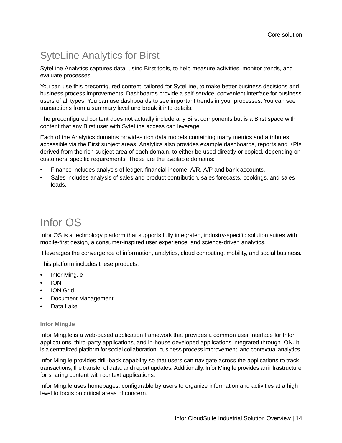# <span id="page-13-0"></span>SyteLine Analytics for Birst

SyteLine Analytics captures data, using Birst tools, to help measure activities, monitor trends, and evaluate processes.

You can use this preconfigured content, tailored for SyteLine, to make better business decisions and business process improvements. Dashboards provide a self-service, convenient interface for business users of all types. You can use dashboards to see important trends in your processes. You can see transactions from a summary level and break it into details.

The preconfigured content does not actually include any Birst components but is a Birst space with content that any Birst user with SyteLine access can leverage.

Each of the Analytics domains provides rich data models containing many metrics and attributes, accessible via the Birst subject areas. Analytics also provides example dashboards, reports and KPIs derived from the rich subject area of each domain, to either be used directly or copied, depending on customers' specific requirements. These are the available domains:

- Finance includes analysis of ledger, financial income, A/R, A/P and bank accounts.
- <span id="page-13-1"></span>• Sales includes analysis of sales and product contribution, sales forecasts, bookings, and sales leads.

# Infor OS

Infor OS is a technology platform that supports fully integrated, industry-specific solution suites with mobile-first design, a consumer-inspired user experience, and science-driven analytics.

It leverages the convergence of information, analytics, cloud computing, mobility, and social business.

This platform includes these products:

- Infor Ming.le
- ION
- ION Grid
- Document Management
- Data Lake

#### **Infor Ming.le**

Infor Ming.le is a web-based application framework that provides a common user interface for Infor applications, third-party applications, and in-house developed applications integrated through ION. It is a centralized platform for social collaboration, business process improvement, and contextual analytics.

Infor Ming.le provides drill-back capability so that users can navigate across the applications to track transactions, the transfer of data, and report updates. Additionally, Infor Ming.le provides an infrastructure for sharing content with context applications.

Infor Ming.le uses homepages, configurable by users to organize information and activities at a high level to focus on critical areas of concern.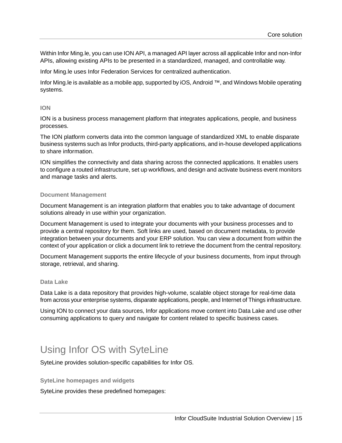Within Infor Ming.le, you can use ION API, a managed API layer across all applicable Infor and non-Infor APIs, allowing existing APIs to be presented in a standardized, managed, and controllable way.

Infor Ming.le uses Infor Federation Services for centralized authentication.

Infor Ming.le is available as a mobile app, supported by iOS, Android ™, and Windows Mobile operating systems.

#### **ION**

ION is a business process management platform that integrates applications, people, and business processes.

The ION platform converts data into the common language of standardized XML to enable disparate business systems such as Infor products, third-party applications, and in-house developed applications to share information.

ION simplifies the connectivity and data sharing across the connected applications. It enables users to configure a routed infrastructure, set up workflows, and design and activate business event monitors and manage tasks and alerts.

#### **Document Management**

Document Management is an integration platform that enables you to take advantage of document solutions already in use within your organization.

Document Management is used to integrate your documents with your business processes and to provide a central repository for them. Soft links are used, based on document metadata, to provide integration between your documents and your ERP solution. You can view a document from within the context of your application or click a document link to retrieve the document from the central repository.

Document Management supports the entire lifecycle of your business documents, from input through storage, retrieval, and sharing.

#### **Data Lake**

Data Lake is a data repository that provides high-volume, scalable object storage for real-time data from across your enterprise systems, disparate applications, people, and Internet of Things infrastructure.

<span id="page-14-0"></span>Using ION to connect your data sources, Infor applications move content into Data Lake and use other consuming applications to query and navigate for content related to specific business cases.

### Using Infor OS with SyteLine

SyteLine provides solution-specific capabilities for Infor OS.

#### **SyteLine homepages and widgets**

SyteLine provides these predefined homepages: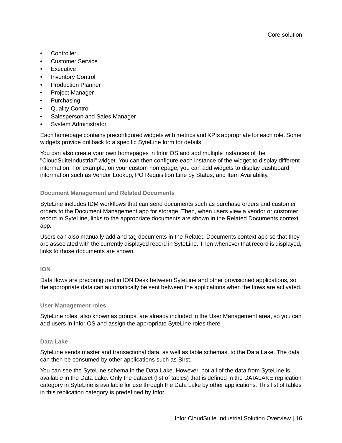- **Controller**
- Customer Service
- **Executive**
- **Inventory Control**
- Production Planner
- Project Manager
- **Purchasing**
- Quality Control
- Salesperson and Sales Manager
- System Administrator

Each homepage contains preconfigured widgets with metrics and KPIs appropriate for each role. Some widgets provide drillback to a specific SyteLine form for details.

You can also create your own homepages in Infor OS and add multiple instances of the "CloudSuiteIndustrial" widget. You can then configure each instance of the widget to display different information. For example, on your custom homepage, you can add widgets to display dashboard information such as Vendor Lookup, PO Requisition Line by Status, and Item Availability.

#### **Document Management and Related Documents**

SyteLine includes IDM workflows that can send documents such as purchase orders and customer orders to the Document Management app for storage. Then, when users view a vendor or customer record in SyteLine, links to the appropriate documents are shown in the Related Documents context app.

Users can also manually add and tag documents in the Related Documents context app so that they are associated with the currently displayed record in SyteLine. Then whenever that record is displayed, links to those documents are shown.

#### **ION**

Data flows are preconfigured in ION Desk between SyteLine and other provisioned applications, so the appropriate data can automatically be sent between the applications when the flows are activated.

#### **User Management roles**

SyteLine roles, also known as groups, are already included in the User Management area, so you can add users in Infor OS and assign the appropriate SyteLine roles there.

#### **Data Lake**

SyteLine sends master and transactional data, as well as table schemas, to the Data Lake. The data can then be consumed by other applications such as Birst.

You can see the SyteLine schema in the Data Lake. However, not all of the data from SyteLine is available in the Data Lake. Only the dataset (list of tables) that is defined in the DATALAKE replication category in SyteLine is available for use through the Data Lake by other applications. This list of tables in this replication category is predefined by Infor.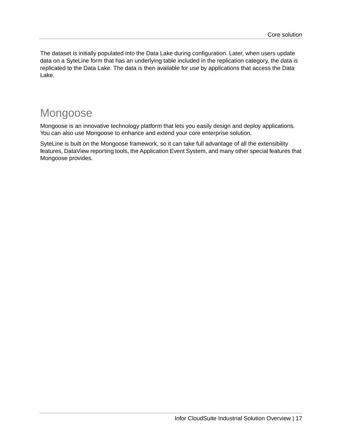The dataset is initially populated into the Data Lake during configuration. Later, when users update data on a SyteLine form that has an underlying table included in the replication category, the data is replicated to the Data Lake. The data is then available for use by applications that access the Data Lake.

## <span id="page-16-0"></span>Mongoose

Mongoose is an innovative technology platform that lets you easily design and deploy applications. You can also use Mongoose to enhance and extend your core enterprise solution.

SyteLine is built on the Mongoose framework, so it can take full advantage of all the extensibility features, DataView reporting tools, the Application Event System, and many other special features that Mongoose provides.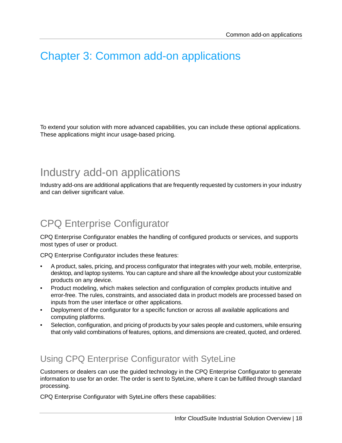# <span id="page-17-0"></span>Chapter 3: Common add-on applications

To extend your solution with more advanced capabilities, you can include these optional applications. These applications might incur usage-based pricing.

## <span id="page-17-1"></span>Industry add-on applications

<span id="page-17-2"></span>Industry add-ons are additional applications that are frequently requested by customers in your industry and can deliver significant value.

## CPQ Enterprise Configurator

CPQ Enterprise Configurator enables the handling of configured products or services, and supports most types of user or product.

CPQ Enterprise Configurator includes these features:

- A product, sales, pricing, and process configurator that integrates with your web, mobile, enterprise, desktop, and laptop systems. You can capture and share all the knowledge about your customizable products on any device.
- Product modeling, which makes selection and configuration of complex products intuitive and error-free. The rules, constraints, and associated data in product models are processed based on inputs from the user interface or other applications.
- Deployment of the configurator for a specific function or across all available applications and computing platforms.
- Selection, configuration, and pricing of products by your sales people and customers, while ensuring that only valid combinations of features, options, and dimensions are created, quoted, and ordered.

### Using CPQ Enterprise Configurator with SyteLine

Customers or dealers can use the guided technology in the CPQ Enterprise Configurator to generate information to use for an order. The order is sent to SyteLine, where it can be fulfilled through standard processing.

CPQ Enterprise Configurator with SyteLine offers these capabilities: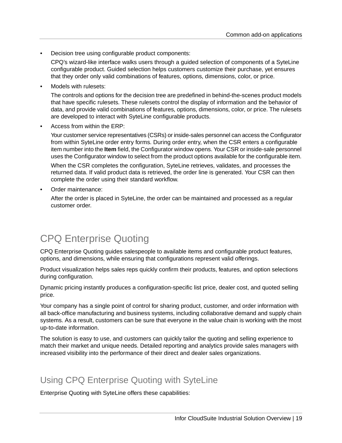Decision tree using configurable product components:

CPQ's wizard-like interface walks users through a guided selection of components of a SyteLine configurable product. Guided selection helps customers customize their purchase, yet ensures that they order only valid combinations of features, options, dimensions, color, or price.

Models with rulesets:

The controls and options for the decision tree are predefined in behind-the-scenes product models that have specific rulesets. These rulesets control the display of information and the behavior of data, and provide valid combinations of features, options, dimensions, color, or price. The rulesets are developed to interact with SyteLine configurable products.

• Access from within the ERP:

Your customer service representatives (CSRs) or inside-sales personnel can access the Configurator from within SyteLine order entry forms. During order entry, when the CSR enters a configurable item number into the **Item** field, the Configurator window opens. Your CSR or inside-sale personnel uses the Configurator window to select from the product options available for the configurable item.

When the CSR completes the configuration, SyteLine retrieves, validates, and processes the returned data. If valid product data is retrieved, the order line is generated. Your CSR can then complete the order using their standard workflow.

• Order maintenance:

<span id="page-18-0"></span>After the order is placed in SyteLine, the order can be maintained and processed as a regular customer order.

## CPQ Enterprise Quoting

CPQ Enterprise Quoting guides salespeople to available items and configurable product features, options, and dimensions, while ensuring that configurations represent valid offerings.

Product visualization helps sales reps quickly confirm their products, features, and option selections during configuration.

Dynamic pricing instantly produces a configuration-specific list price, dealer cost, and quoted selling price.

Your company has a single point of control for sharing product, customer, and order information with all back-office manufacturing and business systems, including collaborative demand and supply chain systems. As a result, customers can be sure that everyone in the value chain is working with the most up-to-date information.

The solution is easy to use, and customers can quickly tailor the quoting and selling experience to match their market and unique needs. Detailed reporting and analytics provide sales managers with increased visibility into the performance of their direct and dealer sales organizations.

### Using CPQ Enterprise Quoting with SyteLine

Enterprise Quoting with SyteLine offers these capabilities: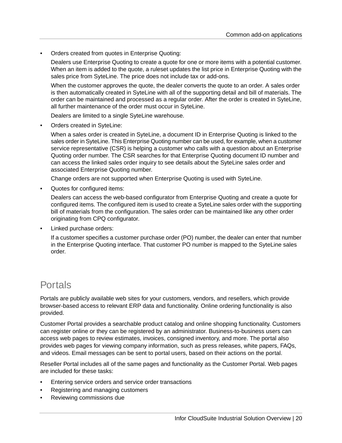• Orders created from quotes in Enterprise Quoting:

Dealers use Enterprise Quoting to create a quote for one or more items with a potential customer. When an item is added to the quote, a ruleset updates the list price in Enterprise Quoting with the sales price from SyteLine. The price does not include tax or add-ons.

When the customer approves the quote, the dealer converts the quote to an order. A sales order is then automatically created in SyteLine with all of the supporting detail and bill of materials. The order can be maintained and processed as a regular order. After the order is created in SyteLine, all further maintenance of the order must occur in SyteLine.

Dealers are limited to a single SyteLine warehouse.

• Orders created in SyteLine:

When a sales order is created in SyteLine, a document ID in Enterprise Quoting is linked to the sales order in SyteLine. This Enterprise Quoting number can be used, for example, when a customer service representative (CSR) is helping a customer who calls with a question about an Enterprise Quoting order number. The CSR searches for that Enterprise Quoting document ID number and can access the linked sales order inquiry to see details about the SyteLine sales order and associated Enterprise Quoting number.

Change orders are not supported when Enterprise Quoting is used with SyteLine.

Quotes for configured items:

Dealers can access the web-based configurator from Enterprise Quoting and create a quote for configured items. The configured item is used to create a SyteLine sales order with the supporting bill of materials from the configuration. The sales order can be maintained like any other order originating from CPQ configurator.

Linked purchase orders:

<span id="page-19-0"></span>If a customer specifies a customer purchase order (PO) number, the dealer can enter that number in the Enterprise Quoting interface. That customer PO number is mapped to the SyteLine sales order.

### Portals

Portals are publicly available web sites for your customers, vendors, and resellers, which provide browser-based access to relevant ERP data and functionality. Online ordering functionality is also provided.

Customer Portal provides a searchable product catalog and online shopping functionality. Customers can register online or they can be registered by an administrator. Business-to-business users can access web pages to review estimates, invoices, consigned inventory, and more. The portal also provides web pages for viewing company information, such as press releases, white papers, FAQs, and videos. Email messages can be sent to portal users, based on their actions on the portal.

Reseller Portal includes all of the same pages and functionality as the Customer Portal. Web pages are included for these tasks:

- Entering service orders and service order transactions
- Registering and managing customers
- Reviewing commissions due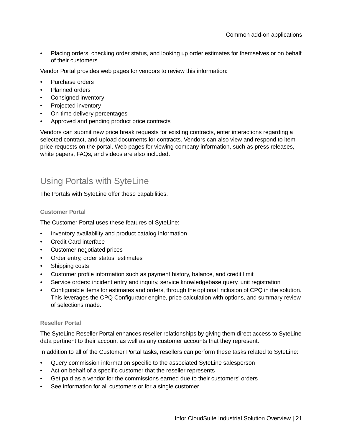• Placing orders, checking order status, and looking up order estimates for themselves or on behalf of their customers

Vendor Portal provides web pages for vendors to review this information:

- Purchase orders
- Planned orders
- Consigned inventory
- Projected inventory
- On-time delivery percentages
- Approved and pending product price contracts

Vendors can submit new price break requests for existing contracts, enter interactions regarding a selected contract, and upload documents for contracts. Vendors can also view and respond to item price requests on the portal. Web pages for viewing company information, such as press releases, white papers, FAQs, and videos are also included.

### Using Portals with SyteLine

The Portals with SyteLine offer these capabilities.

#### **Customer Portal**

The Customer Portal uses these features of SyteLine:

- Inventory availability and product catalog information
- Credit Card interface
- Customer negotiated prices
- Order entry, order status, estimates
- Shipping costs
- Customer profile information such as payment history, balance, and credit limit
- Service orders: incident entry and inquiry, service knowledgebase query, unit registration
- Configurable items for estimates and orders, through the optional inclusion of CPQ in the solution. This leverages the CPQ Configurator engine, price calculation with options, and summary review of selections made.

### **Reseller Portal**

The SyteLine Reseller Portal enhances reseller relationships by giving them direct access to SyteLine data pertinent to their account as well as any customer accounts that they represent.

In addition to all of the Customer Portal tasks, resellers can perform these tasks related to SyteLine:

- Query commission information specific to the associated SyteLine salesperson
- Act on behalf of a specific customer that the reseller represents
- Get paid as a vendor for the commissions earned due to their customers' orders
- See information for all customers or for a single customer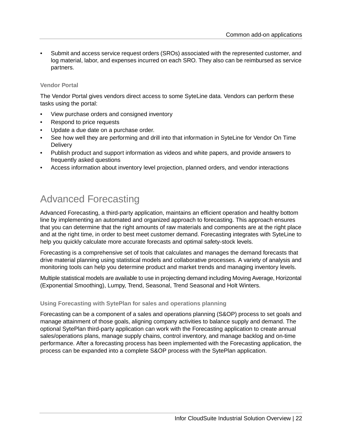• Submit and access service request orders (SROs) associated with the represented customer, and log material, labor, and expenses incurred on each SRO. They also can be reimbursed as service partners.

#### **Vendor Portal**

The Vendor Portal gives vendors direct access to some SyteLine data. Vendors can perform these tasks using the portal:

- View purchase orders and consigned inventory
- Respond to price requests
- Update a due date on a purchase order.
- See how well they are performing and drill into that information in SyteLine for Vendor On Time **Delivery**
- Publish product and support information as videos and white papers, and provide answers to frequently asked questions
- <span id="page-21-0"></span>• Access information about inventory level projection, planned orders, and vendor interactions

## Advanced Forecasting

Advanced Forecasting, a third-party application, maintains an efficient operation and healthy bottom line by implementing an automated and organized approach to forecasting. This approach ensures that you can determine that the right amounts of raw materials and components are at the right place and at the right time, in order to best meet customer demand. Forecasting integrates with SyteLine to help you quickly calculate more accurate forecasts and optimal safety-stock levels.

Forecasting is a comprehensive set of tools that calculates and manages the demand forecasts that drive material planning using statistical models and collaborative processes. A variety of analysis and monitoring tools can help you determine product and market trends and managing inventory levels.

Multiple statistical models are available to use in projecting demand including Moving Average, Horizontal (Exponential Smoothing), Lumpy, Trend, Seasonal, Trend Seasonal and Holt Winters.

#### **Using Forecasting with SytePlan for sales and operations planning**

Forecasting can be a component of a sales and operations planning (S&OP) process to set goals and manage attainment of those goals, aligning company activities to balance supply and demand. The optional SytePlan third-party application can work with the Forecasting application to create annual sales/operations plans, manage supply chains, control inventory, and manage backlog and on-time performance. After a forecasting process has been implemented with the Forecasting application, the process can be expanded into a complete S&OP process with the SytePlan application.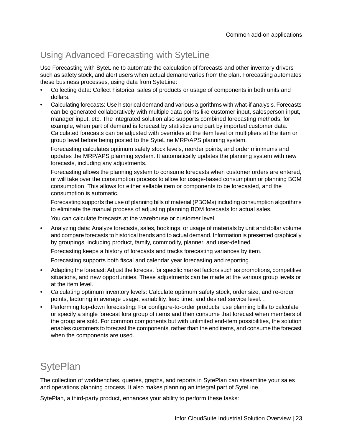## Using Advanced Forecasting with SyteLine

Use Forecasting with SyteLine to automate the calculation of forecasts and other inventory drivers such as safety stock, and alert users when actual demand varies from the plan. Forecasting automates these business processes, using data from SyteLine:

- Collecting data: Collect historical sales of products or usage of components in both units and dollars.
- Calculating forecasts: Use historical demand and various algorithms with what-if analysis. Forecasts can be generated collaboratively with multiple data points like customer input, salesperson input, manager input, etc. The integrated solution also supports combined forecasting methods, for example, when part of demand is forecast by statistics and part by imported customer data. Calculated forecasts can be adjusted with overrides at the item level or multipliers at the item or group level before being posted to the SyteLine MRP/APS planning system.

Forecasting calculates optimum safety stock levels, reorder points, and order minimums and updates the MRP/APS planning system. It automatically updates the planning system with new forecasts, including any adjustments.

Forecasting allows the planning system to consume forecasts when customer orders are entered, or will take over the consumption process to allow for usage-based consumption or planning BOM consumption. This allows for either sellable item or components to be forecasted, and the consumption is automatic.

Forecasting supports the use of planning bills of material (PBOMs) including consumption algorithms to eliminate the manual process of adjusting planning BOM forecasts for actual sales.

You can calculate forecasts at the warehouse or customer level.

• Analyzing data: Analyze forecasts, sales, bookings, or usage of materials by unit and dollar volume and compare forecasts to historical trends and to actual demand. Information is presented graphically by groupings, including product, family, commodity, planner, and user-defined.

Forecasting keeps a history of forecasts and tracks forecasting variances by item.

Forecasting supports both fiscal and calendar year forecasting and reporting.

- Adapting the forecast: Adjust the forecast for specific market factors such as promotions, competitive situations, and new opportunities. These adjustments can be made at the various group levels or at the item level.
- Calculating optimum inventory levels: Calculate optimum safety stock, order size, and re-order points, factoring in average usage, variability, lead time, and desired service level. .
- <span id="page-22-0"></span>• Performing top-down forecasting: For configure-to-order products, use planning bills to calculate or specify a single forecast fora group of items and then consume that forecast when members of the group are sold. For common components but with unlimited end-item possibilities, the solution enables customers to forecast the components, rather than the end items, and consume the forecast when the components are used.

## **SytePlan**

The collection of workbenches, queries, graphs, and reports in SytePlan can streamline your sales and operations planning process. It also makes planning an integral part of SyteLine.

SytePlan, a third-party product, enhances your ability to perform these tasks: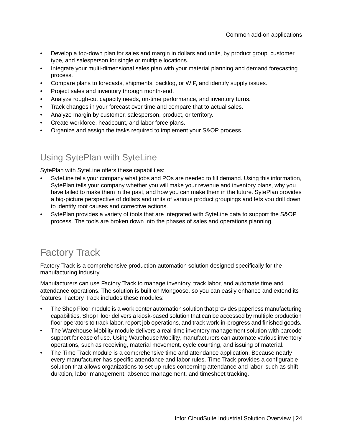- Develop a top-down plan for sales and margin in dollars and units, by product group, customer type, and salesperson for single or multiple locations.
- Integrate your multi-dimensional sales plan with your material planning and demand forecasting process.
- Compare plans to forecasts, shipments, backlog, or WIP, and identify supply issues.
- Project sales and inventory through month-end.
- Analyze rough-cut capacity needs, on-time performance, and inventory turns.
- Track changes in your forecast over time and compare that to actual sales.
- Analyze margin by customer, salesperson, product, or territory.
- Create workforce, headcount, and labor force plans.
- Organize and assign the tasks required to implement your S&OP process.

### Using SytePlan with SyteLine

SytePlan with SyteLine offers these capabilities:

- SyteLine tells your company what jobs and POs are needed to fill demand. Using this information, SytePlan tells your company whether you will make your revenue and inventory plans, why you have failed to make them in the past, and how you can make them in the future. SytePlan provides a big-picture perspective of dollars and units of various product groupings and lets you drill down to identify root causes and corrective actions.
- <span id="page-23-0"></span>• SytePlan provides a variety of tools that are integrated with SyteLine data to support the S&OP process. The tools are broken down into the phases of sales and operations planning.

## Factory Track

Factory Track is a comprehensive production automation solution designed specifically for the manufacturing industry.

Manufacturers can use Factory Track to manage inventory, track labor, and automate time and attendance operations. The solution is built on Mongoose, so you can easily enhance and extend its features. Factory Track includes these modules:

- The Shop Floor module is a work center automation solution that provides paperless manufacturing capabilities. Shop Floor delivers a kiosk-based solution that can be accessed by multiple production floor operators to track labor, report job operations, and track work-in-progress and finished goods.
- The Warehouse Mobility module delivers a real-time inventory management solution with barcode support for ease of use. Using Warehouse Mobility, manufacturers can automate various inventory operations, such as receiving, material movement, cycle counting, and issuing of material.
- The Time Track module is a comprehensive time and attendance application. Because nearly every manufacturer has specific attendance and labor rules, Time Track provides a configurable solution that allows organizations to set up rules concerning attendance and labor, such as shift duration, labor management, absence management, and timesheet tracking.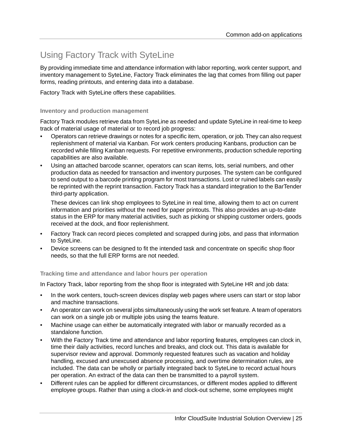### Using Factory Track with SyteLine

By providing immediate time and attendance information with labor reporting, work center support, and inventory management to SyteLine, Factory Track eliminates the lag that comes from filling out paper forms, reading printouts, and entering data into a database.

Factory Track with SyteLine offers these capabilities.

#### **Inventory and production management**

Factory Track modules retrieve data from SyteLine as needed and update SyteLine in real-time to keep track of material usage of material or to record job progress:

- Operators can retrieve drawings or notes for a specific item, operation, or job. They can also request replenishment of material via Kanban. For work centers producing Kanbans, production can be recorded while filling Kanban requests. For repetitive environments, production schedule reporting capabilities are also available.
- Using an attached barcode scanner, operators can scan items, lots, serial numbers, and other production data as needed for transaction and inventory purposes. The system can be configured to send output to a barcode printing program for most transactions. Lost or ruined labels can easily be reprinted with the reprint transaction. Factory Track has a standard integration to the BarTender third-party application.

These devices can link shop employees to SyteLine in real time, allowing them to act on current information and priorities without the need for paper printouts. This also provides an up-to-date status in the ERP for many material activities, such as picking or shipping customer orders, goods received at the dock, and floor replenishment.

- Factory Track can record pieces completed and scrapped during jobs, and pass that information to SyteLine.
- Device screens can be designed to fit the intended task and concentrate on specific shop floor needs, so that the full ERP forms are not needed.

**Tracking time and attendance and labor hours per operation**

In Factory Track, labor reporting from the shop floor is integrated with SyteLine HR and job data:

- In the work centers, touch-screen devices display web pages where users can start or stop labor and machine transactions.
- An operator can work on several jobs simultaneously using the work set feature. A team of operators can work on a single job or multiple jobs using the teams feature.
- Machine usage can either be automatically integrated with labor or manually recorded as a standalone function.
- With the Factory Track time and attendance and labor reporting features, employees can clock in, time their daily activities, record lunches and breaks, and clock out. This data is available for supervisor review and approval. Dommonly requested features such as vacation and holiday handling, excused and unexcused absence processing, and overtime determination rules, are included. The data can be wholly or partially integrated back to SyteLine to record actual hours per operation. An extract of the data can then be transmitted to a payroll system.
- Different rules can be applied for different circumstances, or different modes applied to different employee groups. Rather than using a clock-in and clock-out scheme, some employees might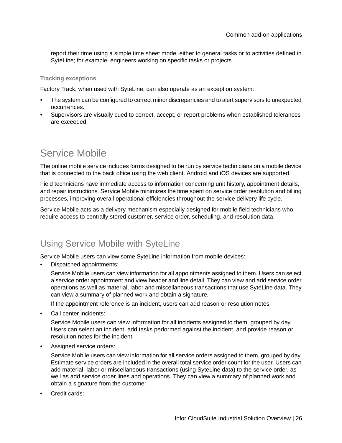report their time using a simple time sheet mode, either to general tasks or to activities defined in SyteLine; for example, engineers working on specific tasks or projects.

#### **Tracking exceptions**

Factory Track, when used with SyteLine, can also operate as an exception system:

- The system can be configured to correct minor discrepancies and to alert supervisors to unexpected occurrences.
- Supervisors are visually cued to correct, accept, or report problems when established tolerances are exceeded.

### <span id="page-25-0"></span>Service Mobile

The online mobile service includes forms designed to be run by service technicians on a mobile device that is connected to the back office using the web client. Android and iOS devices are supported.

Field technicians have immediate access to information concerning unit history, appointment details, and repair instructions. Service Mobile minimizes the time spent on service order resolution and billing processes, improving overall operational efficiencies throughout the service delivery life cycle.

Service Mobile acts as a delivery mechanism especially designed for mobile field technicians who require access to centrally stored customer, service order, scheduling, and resolution data.

### Using Service Mobile with SyteLine

Service Mobile users can view some SyteLine information from mobile devices:

• Dispatched appointments:

Service Mobile users can view information for all appointments assigned to them. Users can select a service order appointment and view header and line detail. They can view and add service order operations as well as material, labor and miscellaneous transactions that use SyteLine data. They can view a summary of planned work and obtain a signature.

If the appointment reference is an incident, users can add reason or resolution notes.

Call center incidents:

Service Mobile users can view information for all incidents assigned to them, grouped by day. Users can select an incident, add tasks performed against the incident, and provide reason or resolution notes for the incident.

• Assigned service orders:

Service Mobile users can view information for all service orders assigned to them, grouped by day. Estimate service orders are included in the overall total service order count for the user. Users can add material, labor or miscellaneous transactions (using SyteLine data) to the service order, as well as add service order lines and operations. They can view a summary of planned work and obtain a signature from the customer.

Credit cards: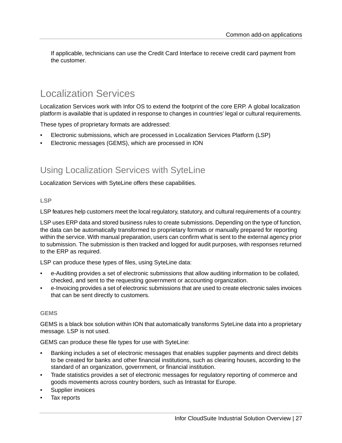If applicable, technicians can use the Credit Card Interface to receive credit card payment from the customer.

## <span id="page-26-0"></span>Localization Services

Localization Services work with Infor OS to extend the footprint of the core ERP. A global localization platform is available that is updated in response to changes in countries' legal or cultural requirements.

These types of proprietary formats are addressed:

- Electronic submissions, which are processed in Localization Services Platform (LSP)
- Electronic messages (GEMS), which are processed in ION

### Using Localization Services with SyteLine

Localization Services with SyteLine offers these capabilities.

#### **LSP**

LSP features help customers meet the local regulatory, statutory, and cultural requirements of a country.

LSP uses ERP data and stored business rules to create submissions. Depending on the type of function, the data can be automatically transformed to proprietary formats or manually prepared for reporting within the service. With manual preparation, users can confirm what is sent to the external agency prior to submission. The submission is then tracked and logged for audit purposes, with responses returned to the ERP as required.

LSP can produce these types of files, using SyteLine data:

- e-Auditing provides a set of electronic submissions that allow auditing information to be collated, checked, and sent to the requesting government or accounting organization.
- e-Invoicing provides a set of electronic submissions that are used to create electronic sales invoices that can be sent directly to customers.

#### **GEMS**

GEMS is a black box solution within ION that automatically transforms SyteLine data into a proprietary message. LSP is not used.

GEMS can produce these file types for use with SyteLine:

- Banking includes a set of electronic messages that enables supplier payments and direct debits to be created for banks and other financial institutions, such as clearing houses, according to the standard of an organization, government, or financial institution.
- Trade statistics provides a set of electronic messages for regulatory reporting of commerce and goods movements across country borders, such as Intrastat for Europe.
- Supplier invoices
- Tax reports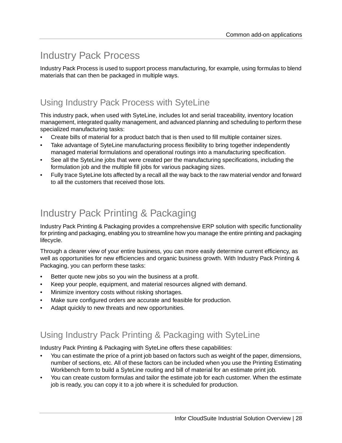# <span id="page-27-0"></span>Industry Pack Process

Industry Pack Process is used to support process manufacturing, for example, using formulas to blend materials that can then be packaged in multiple ways.

### Using Industry Pack Process with SyteLine

This industry pack, when used with SyteLine, includes lot and serial traceability, inventory location management, integrated quality management, and advanced planning and scheduling to perform these specialized manufacturing tasks:

- Create bills of material for a product batch that is then used to fill multiple container sizes.
- Take advantage of SyteLine manufacturing process flexibility to bring together independently managed material formulations and operational routings into a manufacturing specification.
- See all the SyteLine jobs that were created per the manufacturing specifications, including the formulation job and the multiple fill jobs for various packaging sizes.
- <span id="page-27-1"></span>• Fully trace SyteLine lots affected by a recall all the way back to the raw material vendor and forward to all the customers that received those lots.

## Industry Pack Printing & Packaging

Industry Pack Printing & Packaging provides a comprehensive ERP solution with specific functionality for printing and packaging, enabling you to streamline how you manage the entire printing and packaging lifecycle.

Through a clearer view of your entire business, you can more easily determine current efficiency, as well as opportunities for new efficiencies and organic business growth. With Industry Pack Printing & Packaging, you can perform these tasks:

- Better quote new jobs so you win the business at a profit.
- Keep your people, equipment, and material resources aligned with demand.
- Minimize inventory costs without risking shortages.
- Make sure configured orders are accurate and feasible for production.
- Adapt quickly to new threats and new opportunities.

### Using Industry Pack Printing & Packaging with SyteLine

Industry Pack Printing & Packaging with SyteLine offers these capabilities:

- You can estimate the price of a print job based on factors such as weight of the paper, dimensions, number of sections, etc. All of these factors can be included when you use the Printing Estimating Workbench form to build a SyteLine routing and bill of material for an estimate print job.
- You can create custom formulas and tailor the estimate job for each customer. When the estimate job is ready, you can copy it to a job where it is scheduled for production.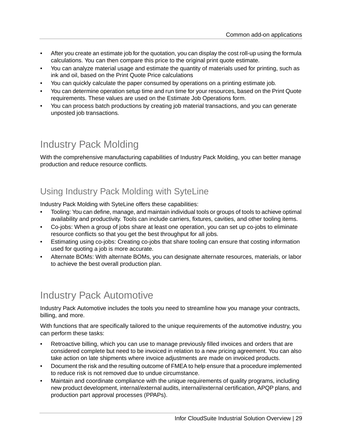- After you create an estimate job for the quotation, you can display the cost roll-up using the formula calculations. You can then compare this price to the original print quote estimate.
- You can analyze material usage and estimate the quantity of materials used for printing, such as ink and oil, based on the Print Quote Price calculations
- You can quickly calculate the paper consumed by operations on a printing estimate job.
- You can determine operation setup time and run time for your resources, based on the Print Quote requirements. These values are used on the Estimate Job Operations form.
- You can process batch productions by creating job material transactions, and you can generate unposted job transactions.

## <span id="page-28-0"></span>Industry Pack Molding

With the comprehensive manufacturing capabilities of Industry Pack Molding, you can better manage production and reduce resource conflicts.

### Using Industry Pack Molding with SyteLine

Industry Pack Molding with SyteLine offers these capabilities:

- Tooling: You can define, manage, and maintain individual tools or groups of tools to achieve optimal availability and productivity. Tools can include carriers, fixtures, cavities, and other tooling items.
- Co-jobs: When a group of jobs share at least one operation, you can set up co-jobs to eliminate resource conflicts so that you get the best throughput for all jobs.
- Estimating using co-jobs: Creating co-jobs that share tooling can ensure that costing information used for quoting a job is more accurate.
- <span id="page-28-1"></span>• Alternate BOMs: With alternate BOMs, you can designate alternate resources, materials, or labor to achieve the best overall production plan.

## Industry Pack Automotive

Industry Pack Automotive includes the tools you need to streamline how you manage your contracts, billing, and more.

With functions that are specifically tailored to the unique requirements of the automotive industry, you can perform these tasks:

- Retroactive billing, which you can use to manage previously filled invoices and orders that are considered complete but need to be invoiced in relation to a new pricing agreement. You can also take action on late shipments where invoice adjustments are made on invoiced products.
- Document the risk and the resulting outcome of FMEA to help ensure that a procedure implemented to reduce risk is not removed due to undue circumstance.
- Maintain and coordinate compliance with the unique requirements of quality programs, including new product development, internal/external audits, internal/external certification, APQP plans, and production part approval processes (PPAPs).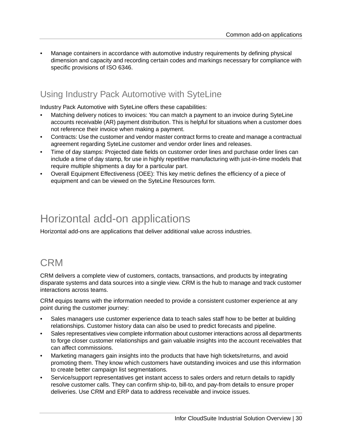• Manage containers in accordance with automotive industry requirements by defining physical dimension and capacity and recording certain codes and markings necessary for compliance with specific provisions of ISO 6346.

### Using Industry Pack Automotive with SyteLine

Industry Pack Automotive with SyteLine offers these capabilities:

- Matching delivery notices to invoices: You can match a payment to an invoice during SyteLine accounts receivable (AR) payment distribution. This is helpful for situations when a customer does not reference their invoice when making a payment.
- Contracts: Use the customer and vendor master contract forms to create and manage a contractual agreement regarding SyteLine customer and vendor order lines and releases.
- Time of day stamps: Projected date fields on customer order lines and purchase order lines can include a time of day stamp, for use in highly repetitive manufacturing with just-in-time models that require multiple shipments a day for a particular part.
- Overall Equipment Effectiveness (OEE): This key metric defines the efficiency of a piece of equipment and can be viewed on the SyteLine Resources form.

# <span id="page-29-0"></span>Horizontal add-on applications

<span id="page-29-1"></span>Horizontal add-ons are applications that deliver additional value across industries.

## CRM

CRM delivers a complete view of customers, contacts, transactions, and products by integrating disparate systems and data sources into a single view. CRM is the hub to manage and track customer interactions across teams.

CRM equips teams with the information needed to provide a consistent customer experience at any point during the customer journey:

- Sales managers use customer experience data to teach sales staff how to be better at building relationships. Customer history data can also be used to predict forecasts and pipeline.
- Sales representatives view complete information about customer interactions across all departments to forge closer customer relationships and gain valuable insights into the account receivables that can affect commissions.
- Marketing managers gain insights into the products that have high tickets/returns, and avoid promoting them. They know which customers have outstanding invoices and use this information to create better campaign list segmentations.
- Service/support representatives get instant access to sales orders and return details to rapidly resolve customer calls. They can confirm ship-to, bill-to, and pay-from details to ensure proper deliveries. Use CRM and ERP data to address receivable and invoice issues.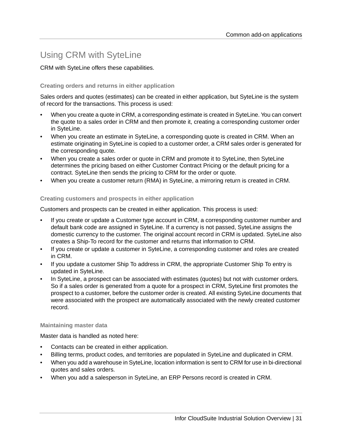### Using CRM with SyteLine

CRM with SyteLine offers these capabilities.

### **Creating orders and returns in either application**

Sales orders and quotes (estimates) can be created in either application, but SyteLine is the system of record for the transactions. This process is used:

- When you create a quote in CRM, a corresponding estimate is created in SyteLine. You can convert the quote to a sales order in CRM and then promote it, creating a corresponding customer order in SyteLine.
- When you create an estimate in SyteLine, a corresponding quote is created in CRM. When an estimate originating in SyteLine is copied to a customer order, a CRM sales order is generated for the corresponding quote.
- When you create a sales order or quote in CRM and promote it to SyteLine, then SyteLine determines the pricing based on either Customer Contract Pricing or the default pricing for a contract. SyteLine then sends the pricing to CRM for the order or quote.
- When you create a customer return (RMA) in SyteLine, a mirroring return is created in CRM.

### **Creating customers and prospects in either application**

Customers and prospects can be created in either application. This process is used:

- If you create or update a Customer type account in CRM, a corresponding customer number and default bank code are assigned in SyteLine. If a currency is not passed, SyteLine assigns the domestic currency to the customer. The original account record in CRM is updated. SyteLine also creates a Ship-To record for the customer and returns that information to CRM.
- If you create or update a customer in SyteLine, a corresponding customer and roles are created in CRM.
- If you update a customer Ship To address in CRM, the appropriate Customer Ship To entry is updated in SyteLine.
- In SyteLine, a prospect can be associated with estimates (quotes) but not with customer orders. So if a sales order is generated from a quote for a prospect in CRM, SyteLine first promotes the prospect to a customer, before the customer order is created. All existing SyteLine documents that were associated with the prospect are automatically associated with the newly created customer record.

### **Maintaining master data**

Master data is handled as noted here:

- Contacts can be created in either application.
- Billing terms, product codes, and territories are populated in SyteLine and duplicated in CRM.
- When you add a warehouse in SyteLine, location information is sent to CRM for use in bi-directional quotes and sales orders.
- When you add a salesperson in SyteLine, an ERP Persons record is created in CRM.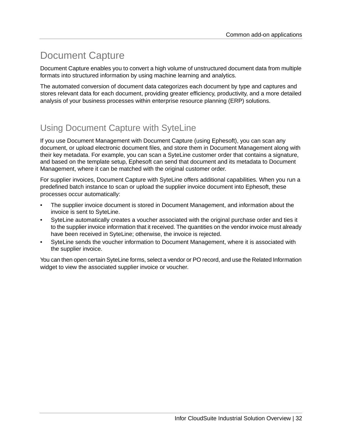# <span id="page-31-0"></span>Document Capture

Document Capture enables you to convert a high volume of unstructured document data from multiple formats into structured information by using machine learning and analytics.

The automated conversion of document data categorizes each document by type and captures and stores relevant data for each document, providing greater efficiency, productivity, and a more detailed analysis of your business processes within enterprise resource planning (ERP) solutions.

### Using Document Capture with SyteLine

If you use Document Management with Document Capture (using Ephesoft), you can scan any document, or upload electronic document files, and store them in Document Management along with their key metadata. For example, you can scan a SyteLine customer order that contains a signature, and based on the template setup, Ephesoft can send that document and its metadata to Document Management, where it can be matched with the original customer order.

For supplier invoices, Document Capture with SyteLine offers additional capabilities. When you run a predefined batch instance to scan or upload the supplier invoice document into Ephesoft, these processes occur automatically:

- The supplier invoice document is stored in Document Management, and information about the invoice is sent to SyteLine.
- SyteLine automatically creates a voucher associated with the original purchase order and ties it to the supplier invoice information that it received. The quantities on the vendor invoice must already have been received in SyteLine; otherwise, the invoice is rejected.
- SyteLine sends the voucher information to Document Management, where it is associated with the supplier invoice.

You can then open certain SyteLine forms, select a vendor or PO record, and use the Related Information widget to view the associated supplier invoice or voucher.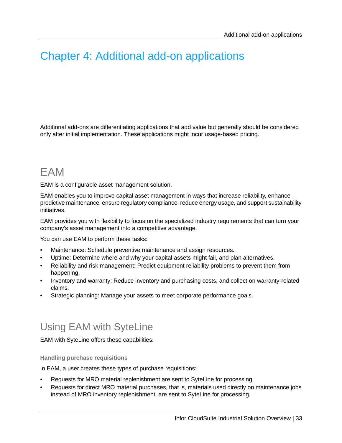# <span id="page-32-0"></span>Chapter 4: Additional add-on applications

Additional add-ons are differentiating applications that add value but generally should be considered only after initial implementation. These applications might incur usage-based pricing.

# <span id="page-32-1"></span>EAM

EAM is a configurable asset management solution.

EAM enables you to improve capital asset management in ways that increase reliability, enhance predictive maintenance, ensure regulatory compliance, reduce energy usage, and support sustainability initiatives.

EAM provides you with flexibility to focus on the specialized industry requirements that can turn your company's asset management into a competitive advantage.

You can use EAM to perform these tasks:

- Maintenance: Schedule preventive maintenance and assign resources.
- Uptime: Determine where and why your capital assets might fail, and plan alternatives.
- Reliability and risk management: Predict equipment reliability problems to prevent them from happening.
- Inventory and warranty: Reduce inventory and purchasing costs, and collect on warranty-related claims.
- <span id="page-32-2"></span>• Strategic planning: Manage your assets to meet corporate performance goals.

### Using EAM with SyteLine

EAM with SyteLine offers these capabilities.

**Handling purchase requisitions**

In EAM, a user creates these types of purchase requisitions:

- Requests for MRO material replenishment are sent to SyteLine for processing.
- Requests for direct MRO material purchases, that is, materials used directly on maintenance jobs instead of MRO inventory replenishment, are sent to SyteLine for processing.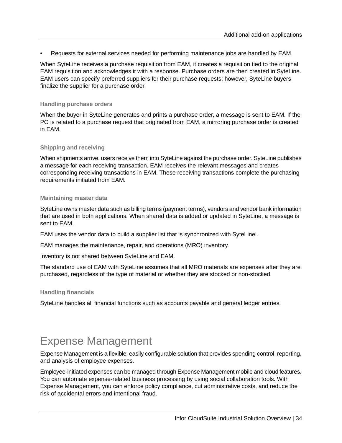• Requests for external services needed for performing maintenance jobs are handled by EAM.

When SyteLine receives a purchase requisition from EAM, it creates a requisition tied to the original EAM requisition and acknowledges it with a response. Purchase orders are then created in SyteLine. EAM users can specify preferred suppliers for their purchase requests; however, SyteLine buyers finalize the supplier for a purchase order.

#### **Handling purchase orders**

When the buyer in SyteLine generates and prints a purchase order, a message is sent to EAM. If the PO is related to a purchase request that originated from EAM, a mirroring purchase order is created in EAM.

#### **Shipping and receiving**

When shipments arrive, users receive them into SyteLine against the purchase order. SyteLine publishes a message for each receiving transaction. EAM receives the relevant messages and creates corresponding receiving transactions in EAM. These receiving transactions complete the purchasing requirements initiated from EAM.

#### **Maintaining master data**

SyteLine owns master data such as billing terms (payment terms), vendors and vendor bank information that are used in both applications. When shared data is added or updated in SyteLine, a message is sent to FAM

EAM uses the vendor data to build a supplier list that is synchronized with SyteLinel.

EAM manages the maintenance, repair, and operations (MRO) inventory.

Inventory is not shared between SyteLine and EAM.

The standard use of EAM with SyteLine assumes that all MRO materials are expenses after they are purchased, regardless of the type of material or whether they are stocked or non-stocked.

### **Handling financials**

<span id="page-33-0"></span>SyteLine handles all financial functions such as accounts payable and general ledger entries.

## Expense Management

Expense Management is a flexible, easily configurable solution that provides spending control, reporting, and analysis of employee expenses.

Employee-initiated expenses can be managed through Expense Management mobile and cloud features. You can automate expense-related business processing by using social collaboration tools. With Expense Management, you can enforce policy compliance, cut administrative costs, and reduce the risk of accidental errors and intentional fraud.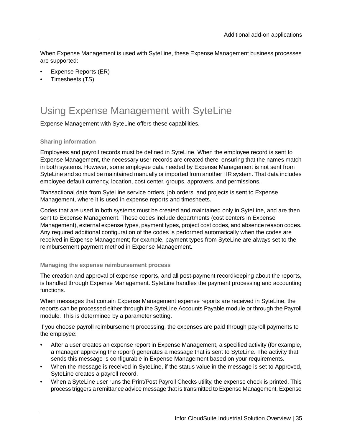When Expense Management is used with SyteLine, these Expense Management business processes are supported:

- Expense Reports (ER)
- Timesheets (TS)

## <span id="page-34-0"></span>Using Expense Management with SyteLine

Expense Management with SyteLine offers these capabilities.

### **Sharing information**

Employees and payroll records must be defined in SyteLine. When the employee record is sent to Expense Management, the necessary user records are created there, ensuring that the names match in both systems. However, some employee data needed by Expense Management is not sent from SyteLine and so must be maintained manually or imported from another HR system. That data includes employee default currency, location, cost center, groups, approvers, and permissions.

Transactional data from SyteLine service orders, job orders, and projects is sent to Expense Management, where it is used in expense reports and timesheets.

Codes that are used in both systems must be created and maintained only in SyteLine, and are then sent to Expense Management. These codes include departments (cost centers in Expense Management), external expense types, payment types, project cost codes, and absence reason codes. Any required additional configuration of the codes is performed automatically when the codes are received in Expense Management; for example, payment types from SyteLine are always set to the reimbursement payment method in Expense Management.

#### **Managing the expense reimbursement process**

The creation and approval of expense reports, and all post-payment recordkeeping about the reports, is handled through Expense Management. SyteLine handles the payment processing and accounting functions.

When messages that contain Expense Management expense reports are received in SyteLine, the reports can be processed either through the SyteLine Accounts Payable module or through the Payroll module. This is determined by a parameter setting.

If you choose payroll reimbursement processing, the expenses are paid through payroll payments to the employee:

- After a user creates an expense report in Expense Management, a specified activity (for example, a manager approving the report) generates a message that is sent to SyteLine. The activity that sends this message is configurable in Expense Management based on your requirements.
- When the message is received in SyteLine, if the status value in the message is set to Approved, SyteLine creates a payroll record.
- When a SyteLine user runs the Print/Post Payroll Checks utility, the expense check is printed. This process triggers a remittance advice message that is transmitted to Expense Management. Expense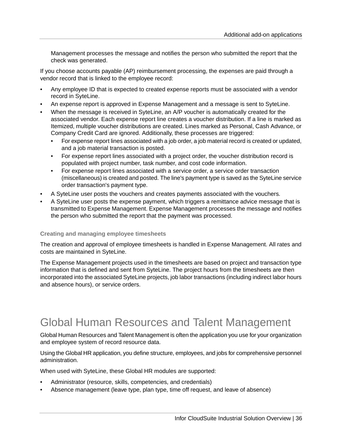Management processes the message and notifies the person who submitted the report that the check was generated.

If you choose accounts payable (AP) reimbursement processing, the expenses are paid through a vendor record that is linked to the employee record:

- Any employee ID that is expected to created expense reports must be associated with a vendor record in SyteLine.
- An expense report is approved in Expense Management and a message is sent to SyteLine.
- When the message is received in SyteLine, an A/P voucher is automatically created for the associated vendor. Each expense report line creates a voucher distribution. If a line is marked as Itemized, multiple voucher distributions are created. Lines marked as Personal, Cash Advance, or Company Credit Card are ignored. Additionally, these processes are triggered:
	- For expense report lines associated with a job order, a job material record is created or updated, and a job material transaction is posted.
	- For expense report lines associated with a project order, the voucher distribution record is populated with project number, task number, and cost code information.
	- For expense report lines associated with a service order, a service order transaction (miscellaneous) is created and posted. The line's payment type is saved as the SyteLine service order transaction's payment type.
- A SyteLine user posts the vouchers and creates payments associated with the vouchers.
- A SyteLine user posts the expense payment, which triggers a remittance advice message that is transmitted to Expense Management. Expense Management processes the message and notifies the person who submitted the report that the payment was processed.

#### **Creating and managing employee timesheets**

The creation and approval of employee timesheets is handled in Expense Management. All rates and costs are maintained in SyteLine.

<span id="page-35-0"></span>The Expense Management projects used in the timesheets are based on project and transaction type information that is defined and sent from SyteLine. The project hours from the timesheets are then incorporated into the associated SyteLine projects, job labor transactions (including indirect labor hours and absence hours), or service orders.

# Global Human Resources and Talent Management

Global Human Resources and Talent Management is often the application you use for your organization and employee system of record resource data.

Using the Global HR application, you define structure, employees, and jobs for comprehensive personnel administration.

When used with SyteLine, these Global HR modules are supported:

- Administrator (resource, skills, competencies, and credentials)
- Absence management (leave type, plan type, time off request, and leave of absence)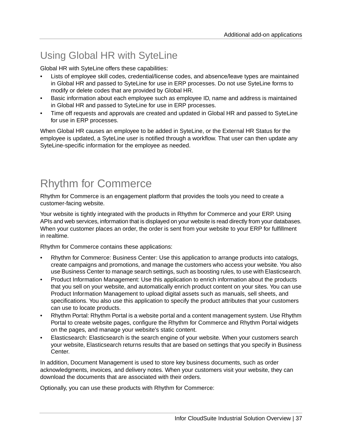# <span id="page-36-0"></span>Using Global HR with SyteLine

Global HR with SyteLine offers these capabilities:

- Lists of employee skill codes, credential/license codes, and absence/leave types are maintained in Global HR and passed to SyteLine for use in ERP processes. Do not use SyteLine forms to modify or delete codes that are provided by Global HR.
- Basic information about each employee such as employee ID, name and address is maintained in Global HR and passed to SyteLine for use in ERP processes.
- Time off requests and approvals are created and updated in Global HR and passed to SyteLine for use in ERP processes.

When Global HR causes an employee to be added in SyteLine, or the External HR Status for the employee is updated, a SyteLine user is notified through a workflow. That user can then update any SyteLine-specific information for the employee as needed.

# <span id="page-36-1"></span>Rhythm for Commerce

Rhythm for Commerce is an engagement platform that provides the tools you need to create a customer-facing website.

Your website is tightly integrated with the products in Rhythm for Commerce and your ERP. Using APIs and web services, information that is displayed on your website is read directly from your databases. When your customer places an order, the order is sent from your website to your ERP for fulfillment in realtime.

Rhythm for Commerce contains these applications:

- Rhythm for Commerce: Business Center: Use this application to arrange products into catalogs, create campaigns and promotions, and manage the customers who access your website. You also use Business Center to manage search settings, such as boosting rules, to use with Elasticsearch.
- Product Information Management: Use this application to enrich information about the products that you sell on your website, and automatically enrich product content on your sites. You can use Product Information Management to upload digital assets such as manuals, sell sheets, and specifications. You also use this application to specify the product attributes that your customers can use to locate products.
- Rhythm Portal: Rhythm Portal is a website portal and a content management system. Use Rhythm Portal to create website pages, configure the Rhythm for Commerce and Rhythm Portal widgets on the pages, and manage your website's static content.
- Elasticsearch: Elasticsearch is the search engine of your website. When your customers search your website, Elasticsearch returns results that are based on settings that you specify in Business Center.

In addition, Document Management is used to store key business documents, such as order acknowledgments, invoices, and delivery notes. When your customers visit your website, they can download the documents that are associated with their orders.

Optionally, you can use these products with Rhythm for Commerce: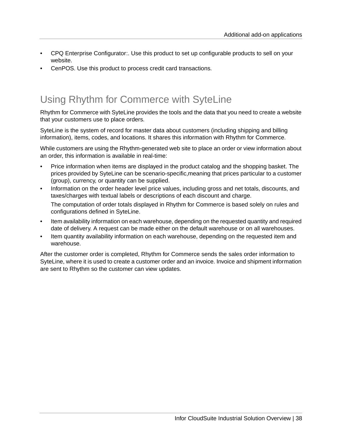- CPQ Enterprise Configurator:. Use this product to set up configurable products to sell on your website.
- CenPOS. Use this product to process credit card transactions.

## <span id="page-37-0"></span>Using Rhythm for Commerce with SyteLine

Rhythm for Commerce with SyteLine provides the tools and the data that you need to create a website that your customers use to place orders.

SyteLine is the system of record for master data about customers (including shipping and billing information), items, codes, and locations. It shares this information with Rhythm for Commerce.

While customers are using the Rhythm-generated web site to place an order or view information about an order, this information is available in real-time:

- Price information when items are displayed in the product catalog and the shopping basket. The prices provided by SyteLine can be scenario-specific,meaning that prices particular to a customer (group), currency, or quantity can be supplied.
- Information on the order header level price values, including gross and net totals, discounts, and taxes/charges with textual labels or descriptions of each discount and charge.

The computation of order totals displayed in Rhythm for Commerce is based solely on rules and configurations defined in SyteLine.

- Item availability information on each warehouse, depending on the requested quantity and required date of delivery. A request can be made either on the default warehouse or on all warehouses.
- Item quantity availability information on each warehouse, depending on the requested item and warehouse.

After the customer order is completed, Rhythm for Commerce sends the sales order information to SyteLine, where it is used to create a customer order and an invoice. Invoice and shipment information are sent to Rhythm so the customer can view updates.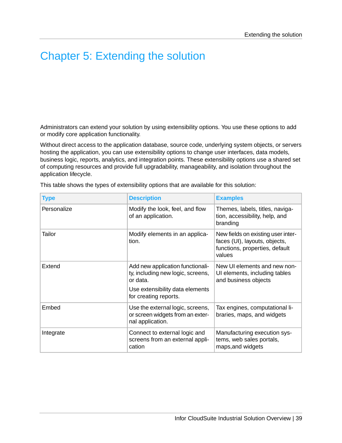# <span id="page-38-0"></span>Chapter 5: Extending the solution

Administrators can extend your solution by using extensibility options. You use these options to add or modify core application functionality.

Without direct access to the application database, source code, underlying system objects, or servers hosting the application, you can use extensibility options to change user interfaces, data models, business logic, reports, analytics, and integration points. These extensibility options use a shared set of computing resources and provide full upgradability, manageability, and isolation throughout the application lifecycle.

| <b>Type</b> | <b>Description</b>                                                                                                                            | <b>Examples</b>                                                                                                 |
|-------------|-----------------------------------------------------------------------------------------------------------------------------------------------|-----------------------------------------------------------------------------------------------------------------|
| Personalize | Modify the look, feel, and flow<br>of an application.                                                                                         | Themes, labels, titles, naviga-<br>tion, accessibility, help, and<br>branding                                   |
| Tailor      | Modify elements in an applica-<br>tion.                                                                                                       | New fields on existing user inter-<br>faces (UI), layouts, objects,<br>functions, properties, default<br>values |
| Extend      | Add new application functionali-<br>ty, including new logic, screens,<br>or data.<br>Use extensibility data elements<br>for creating reports. | New UI elements and new non-<br>UI elements, including tables<br>and business objects                           |
| Embed       | Use the external logic, screens,<br>or screen widgets from an exter-<br>nal application.                                                      | Tax engines, computational li-<br>braries, maps, and widgets                                                    |
| Integrate   | Connect to external logic and<br>screens from an external appli-<br>cation                                                                    | Manufacturing execution sys-<br>tems, web sales portals,<br>maps, and widgets                                   |

This table shows the types of extensibility options that are available for this solution: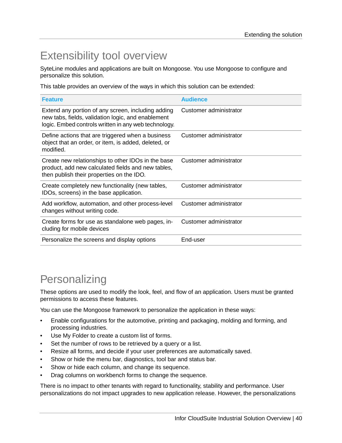# <span id="page-39-0"></span>Extensibility tool overview

SyteLine modules and applications are built on Mongoose. You use Mongoose to configure and personalize this solution.

This table provides an overview of the ways in which this solution can be extended:

| <b>Feature</b>                                                                                                                                                   | <b>Audience</b>        |
|------------------------------------------------------------------------------------------------------------------------------------------------------------------|------------------------|
| Extend any portion of any screen, including adding<br>new tabs, fields, validation logic, and enablement<br>logic. Embed controls written in any web technology. | Customer administrator |
| Define actions that are triggered when a business<br>object that an order, or item, is added, deleted, or<br>modified.                                           | Customer administrator |
| Create new relationships to other IDOs in the base<br>product, add new calculated fields and new tables,<br>then publish their properties on the IDO.            | Customer administrator |
| Create completely new functionality (new tables,<br>IDOs, screens) in the base application.                                                                      | Customer administrator |
| Add workflow, automation, and other process-level<br>changes without writing code.                                                                               | Customer administrator |
| Create forms for use as standalone web pages, in-<br>cluding for mobile devices                                                                                  | Customer administrator |
| Personalize the screens and display options                                                                                                                      | End-user               |

# <span id="page-39-1"></span>**Personalizing**

These options are used to modify the look, feel, and flow of an application. Users must be granted permissions to access these features.

You can use the Mongoose framework to personalize the application in these ways:

- Enable configurations for the automotive, printing and packaging, molding and forming, and processing industries.
- Use My Folder to create a custom list of forms.
- Set the number of rows to be retrieved by a query or a list.
- Resize all forms, and decide if your user preferences are automatically saved.
- Show or hide the menu bar, diagnostics, tool bar and status bar.
- Show or hide each column, and change its sequence.
- Drag columns on workbench forms to change the sequence.

There is no impact to other tenants with regard to functionality, stability and performance. User personalizations do not impact upgrades to new application release. However, the personalizations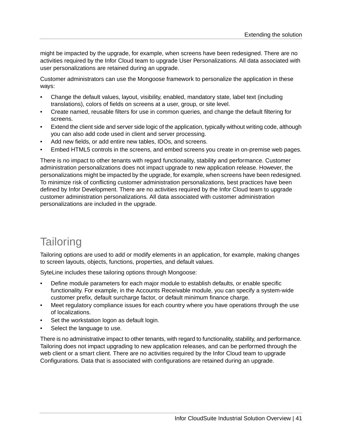might be impacted by the upgrade, for example, when screens have been redesigned. There are no activities required by the Infor Cloud team to upgrade User Personalizations. All data associated with user personalizations are retained during an upgrade.

Customer administrators can use the Mongoose framework to personalize the application in these ways:

- Change the default values, layout, visibility, enabled, mandatory state, label text (including translations), colors of fields on screens at a user, group, or site level.
- Create named, reusable filters for use in common queries, and change the default filtering for screens.
- Extend the client side and server side logic of the application, typically without writing code, although you can also add code used in client and server processing.
- Add new fields, or add entire new tables, IDOs, and screens.
- Embed HTML5 controls in the screens, and embed screens you create in on-premise web pages.

There is no impact to other tenants with regard functionality, stability and performance. Customer administration personalizations does not impact upgrade to new application release. However, the personalizations might be impacted by the upgrade, for example, when screens have been redesigned. To minimize risk of conflicting customer administration personalizations, best practices have been defined by Infor Development. There are no activities required by the Infor Cloud team to upgrade customer administration personalizations. All data associated with customer administration personalizations are included in the upgrade.

# <span id="page-40-0"></span>**Tailoring**

Tailoring options are used to add or modify elements in an application, for example, making changes to screen layouts, objects, functions, properties, and default values.

SyteLine includes these tailoring options through Mongoose:

- Define module parameters for each major module to establish defaults, or enable specific functionality. For example, in the Accounts Receivable module, you can specify a system-wide customer prefix, default surcharge factor, or default minimum finance charge.
- Meet regulatory compliance issues for each country where you have operations through the use of localizations.
- Set the workstation logon as default login.
- Select the language to use.

There is no administrative impact to other tenants, with regard to functionality, stability, and performance. Tailoring does not impact upgrading to new application releases, and can be performed through the web client or a smart client. There are no activities required by the Infor Cloud team to upgrade Configurations. Data that is associated with configurations are retained during an upgrade.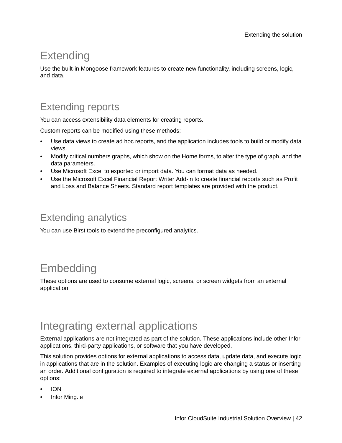# <span id="page-41-0"></span>**Extending**

Use the built-in Mongoose framework features to create new functionality, including screens, logic, and data.

## <span id="page-41-1"></span>Extending reports

You can access extensibility data elements for creating reports.

Custom reports can be modified using these methods:

- Use data views to create ad hoc reports, and the application includes tools to build or modify data views.
- Modify critical numbers graphs, which show on the Home forms, to alter the type of graph, and the data parameters.
- Use Microsoft Excel to exported or import data. You can format data as needed.
- <span id="page-41-2"></span>• Use the Microsoft Excel Financial Report Writer Add-in to create financial reports such as Profit and Loss and Balance Sheets. Standard report templates are provided with the product.

## Extending analytics

<span id="page-41-3"></span>You can use Birst tools to extend the preconfigured analytics.

# Embedding

<span id="page-41-4"></span>These options are used to consume external logic, screens, or screen widgets from an external application.

# Integrating external applications

External applications are not integrated as part of the solution. These applications include other Infor applications, third-party applications, or software that you have developed.

This solution provides options for external applications to access data, update data, and execute logic in applications that are in the solution. Examples of executing logic are changing a status or inserting an order. Additional configuration is required to integrate external applications by using one of these options:

- ION
- Infor Ming.le